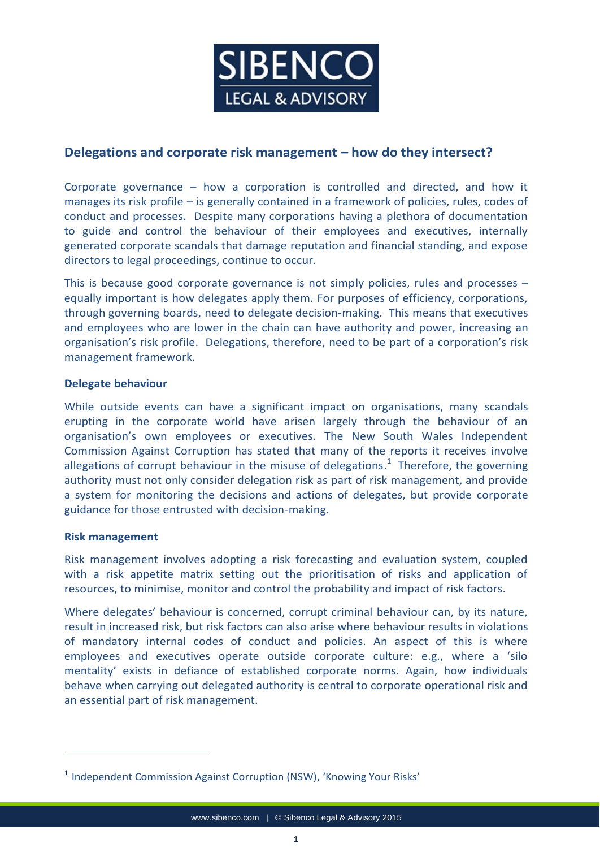

# **Delegations and corporate risk management – how do they intersect?**

Corporate governance – how a corporation is controlled and directed, and how it manages its risk profile – is generally contained in a framework of policies, rules, codes of conduct and processes. Despite many corporations having a plethora of documentation to guide and control the behaviour of their employees and executives, internally generated corporate scandals that damage reputation and financial standing, and expose directors to legal proceedings, continue to occur.

This is because good corporate governance is not simply policies, rules and processes – equally important is how delegates apply them. For purposes of efficiency, corporations, through governing boards, need to delegate decision-making. This means that executives and employees who are lower in the chain can have authority and power, increasing an organisation's risk profile. Delegations, therefore, need to be part of a corporation's risk management framework.

#### **Delegate behaviour**

While outside events can have a significant impact on organisations, many scandals erupting in the corporate world have arisen largely through the behaviour of an organisation's own employees or executives. The New South Wales Independent Commission Against Corruption has stated that many of the reports it receives involve allegations of corrupt behaviour in the misuse of delegations. $1$  Therefore, the governing authority must not only consider delegation risk as part of risk management, and provide a system for monitoring the decisions and actions of delegates, but provide corporate guidance for those entrusted with decision-making.

#### **Risk management**

 $\overline{a}$ 

Risk management involves adopting a risk forecasting and evaluation system, coupled with a risk appetite matrix setting out the prioritisation of risks and application of resources, to minimise, monitor and control the probability and impact of risk factors.

Where delegates' behaviour is concerned, corrupt criminal behaviour can, by its nature, result in increased risk, but risk factors can also arise where behaviour results in violations of mandatory internal codes of conduct and policies. An aspect of this is where employees and executives operate outside corporate culture: e.g., where a 'silo mentality' exists in defiance of established corporate norms. Again, how individuals behave when carrying out delegated authority is central to corporate operational risk and an essential part of risk management.

<sup>&</sup>lt;sup>1</sup> Independent Commission Against Corruption (NSW), 'Knowing Your Risks'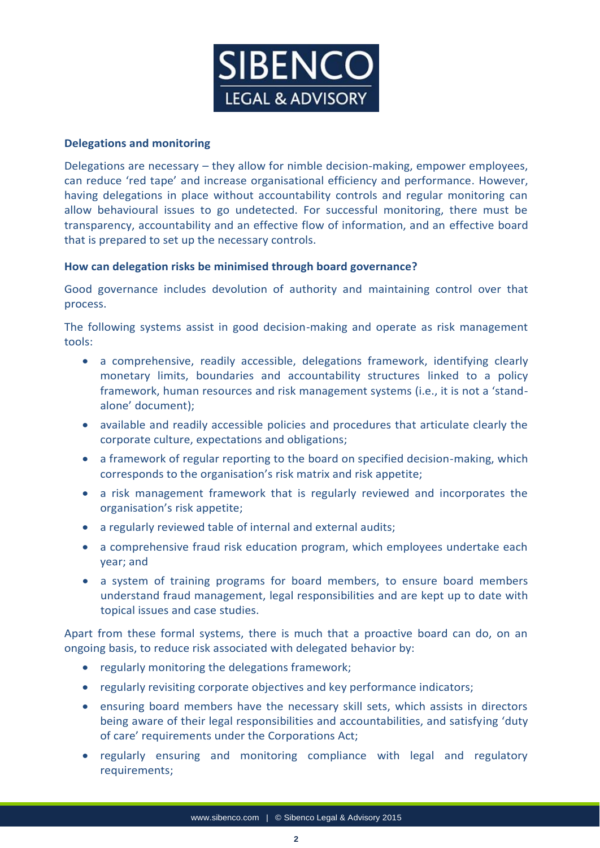

#### **Delegations and monitoring**

Delegations are necessary – they allow for nimble decision-making, empower employees, can reduce 'red tape' and increase organisational efficiency and performance. However, having delegations in place without accountability controls and regular monitoring can allow behavioural issues to go undetected. For successful monitoring, there must be transparency, accountability and an effective flow of information, and an effective board that is prepared to set up the necessary controls.

### **How can delegation risks be minimised through board governance?**

Good governance includes devolution of authority and maintaining control over that process.

The following systems assist in good decision-making and operate as risk management tools:

- a comprehensive, readily accessible, delegations framework, identifying clearly monetary limits, boundaries and accountability structures linked to a policy framework, human resources and risk management systems (i.e., it is not a 'standalone' document);
- available and readily accessible policies and procedures that articulate clearly the corporate culture, expectations and obligations;
- a framework of regular reporting to the board on specified decision-making, which corresponds to the organisation's risk matrix and risk appetite;
- a risk management framework that is regularly reviewed and incorporates the organisation's risk appetite;
- a regularly reviewed table of internal and external audits;
- a comprehensive fraud risk education program, which employees undertake each year; and
- a system of training programs for board members, to ensure board members understand fraud management, legal responsibilities and are kept up to date with topical issues and case studies.

Apart from these formal systems, there is much that a proactive board can do, on an ongoing basis, to reduce risk associated with delegated behavior by:

- regularly monitoring the delegations framework;
- regularly revisiting corporate objectives and key performance indicators;
- ensuring board members have the necessary skill sets, which assists in directors being aware of their legal responsibilities and accountabilities, and satisfying 'duty of care' requirements under the Corporations Act;
- regularly ensuring and monitoring compliance with legal and regulatory requirements;